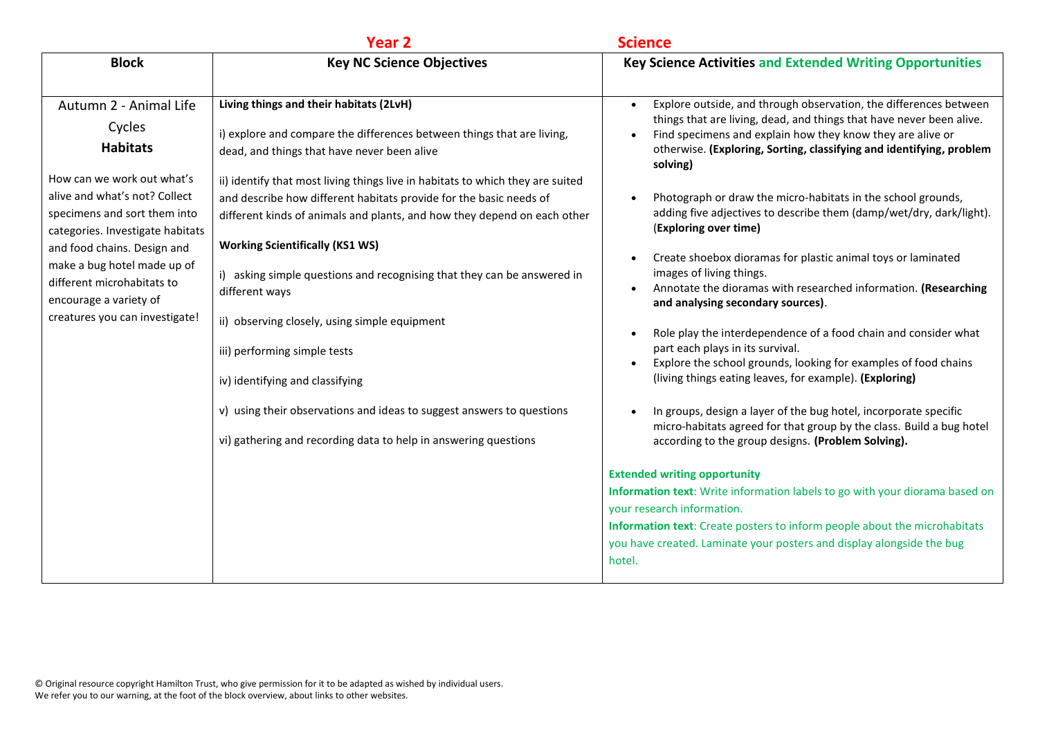|                                                                                                                                                                                                                                                                                                                                                | <b>Year 2</b>                                                                                                                                                                                                                                                                                                                                                                                                                                                                                                                                                                                                                                                                                                                                                                                               | <b>Science</b>                                                                                                                                                                                                                                                                                                                                                                                                                                                                                                                                                                                                                                                                                                                                                                                                                                                                                                                                                                                                                                                                                                                                                                                                                            |
|------------------------------------------------------------------------------------------------------------------------------------------------------------------------------------------------------------------------------------------------------------------------------------------------------------------------------------------------|-------------------------------------------------------------------------------------------------------------------------------------------------------------------------------------------------------------------------------------------------------------------------------------------------------------------------------------------------------------------------------------------------------------------------------------------------------------------------------------------------------------------------------------------------------------------------------------------------------------------------------------------------------------------------------------------------------------------------------------------------------------------------------------------------------------|-------------------------------------------------------------------------------------------------------------------------------------------------------------------------------------------------------------------------------------------------------------------------------------------------------------------------------------------------------------------------------------------------------------------------------------------------------------------------------------------------------------------------------------------------------------------------------------------------------------------------------------------------------------------------------------------------------------------------------------------------------------------------------------------------------------------------------------------------------------------------------------------------------------------------------------------------------------------------------------------------------------------------------------------------------------------------------------------------------------------------------------------------------------------------------------------------------------------------------------------|
| <b>Block</b>                                                                                                                                                                                                                                                                                                                                   | <b>Key NC Science Objectives</b>                                                                                                                                                                                                                                                                                                                                                                                                                                                                                                                                                                                                                                                                                                                                                                            | <b>Key Science Activities and Extended Writing Opportunities</b>                                                                                                                                                                                                                                                                                                                                                                                                                                                                                                                                                                                                                                                                                                                                                                                                                                                                                                                                                                                                                                                                                                                                                                          |
| Autumn 2 - Animal Life<br>Cycles<br><b>Habitats</b><br>How can we work out what's<br>alive and what's not? Collect<br>specimens and sort them into<br>categories. Investigate habitats<br>and food chains. Design and<br>make a bug hotel made up of<br>different microhabitats to<br>encourage a variety of<br>creatures you can investigate! | Living things and their habitats (2LvH)<br>i) explore and compare the differences between things that are living,<br>dead, and things that have never been alive<br>ii) identify that most living things live in habitats to which they are suited<br>and describe how different habitats provide for the basic needs of<br>different kinds of animals and plants, and how they depend on each other<br><b>Working Scientifically (KS1 WS)</b><br>i) asking simple questions and recognising that they can be answered in<br>different ways<br>ii) observing closely, using simple equipment<br>iii) performing simple tests<br>iv) identifying and classifying<br>v) using their observations and ideas to suggest answers to questions<br>vi) gathering and recording data to help in answering questions | Explore outside, and through observation, the differences between<br>things that are living, dead, and things that have never been alive.<br>Find specimens and explain how they know they are alive or<br>otherwise. (Exploring, Sorting, classifying and identifying, problem<br>solving)<br>Photograph or draw the micro-habitats in the school grounds,<br>adding five adjectives to describe them (damp/wet/dry, dark/light).<br>(Exploring over time)<br>Create shoebox dioramas for plastic animal toys or laminated<br>images of living things.<br>Annotate the dioramas with researched information. (Researching<br>and analysing secondary sources).<br>Role play the interdependence of a food chain and consider what<br>part each plays in its survival.<br>Explore the school grounds, looking for examples of food chains<br>$\bullet$<br>(living things eating leaves, for example). (Exploring)<br>In groups, design a layer of the bug hotel, incorporate specific<br>micro-habitats agreed for that group by the class. Build a bug hotel<br>according to the group designs. (Problem Solving).<br><b>Extended writing opportunity</b><br>Information text: Write information labels to go with your diorama based on |
|                                                                                                                                                                                                                                                                                                                                                |                                                                                                                                                                                                                                                                                                                                                                                                                                                                                                                                                                                                                                                                                                                                                                                                             | vour research information.<br>Information text: Create posters to inform people about the microhabitats                                                                                                                                                                                                                                                                                                                                                                                                                                                                                                                                                                                                                                                                                                                                                                                                                                                                                                                                                                                                                                                                                                                                   |
|                                                                                                                                                                                                                                                                                                                                                |                                                                                                                                                                                                                                                                                                                                                                                                                                                                                                                                                                                                                                                                                                                                                                                                             | you have created. Laminate your posters and display alongside the bug<br>hotel.                                                                                                                                                                                                                                                                                                                                                                                                                                                                                                                                                                                                                                                                                                                                                                                                                                                                                                                                                                                                                                                                                                                                                           |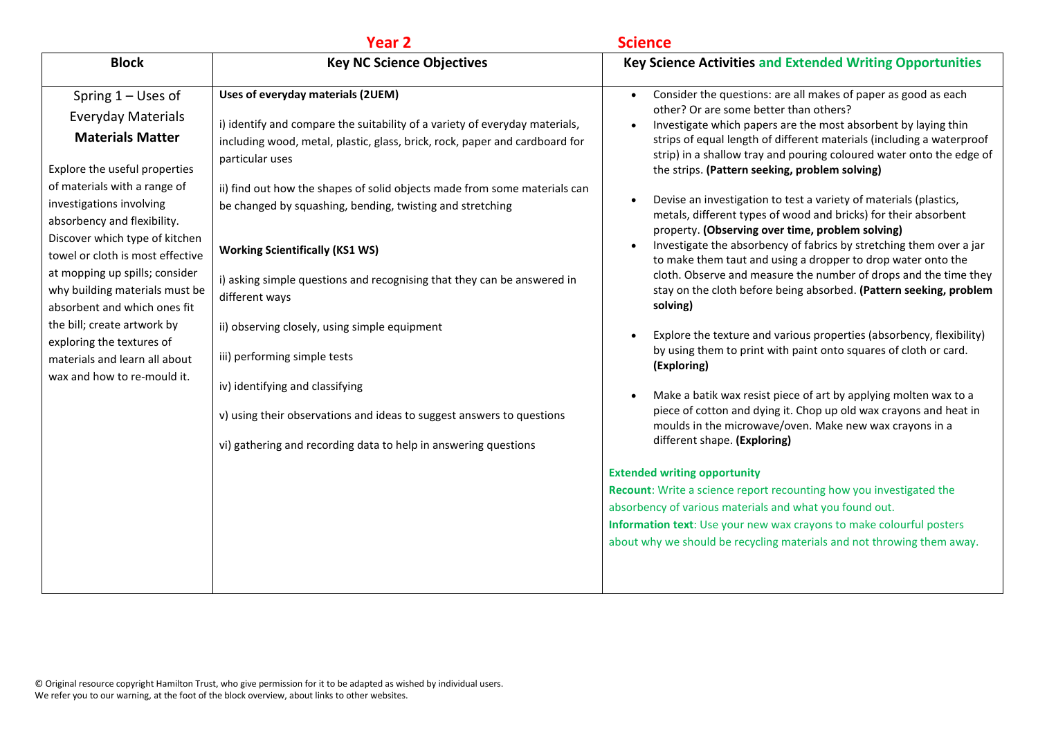|                                                                                                                                                                                                                                                                                                                                                                                                                                                                                                                | Year <sub>2</sub>                                                                                                                                                                                                                                                                                                                                                                                                                                                                                                                                                                                                                                                                                                                                                   | <b>Science</b>                                                                                                                                                                                                                                                                                                                                                                                                                                                                                                                                                                                                                                                                                                                                                                                                                                                                                                                                                                                                                                                                                                                                                                                                                                                                                               |
|----------------------------------------------------------------------------------------------------------------------------------------------------------------------------------------------------------------------------------------------------------------------------------------------------------------------------------------------------------------------------------------------------------------------------------------------------------------------------------------------------------------|---------------------------------------------------------------------------------------------------------------------------------------------------------------------------------------------------------------------------------------------------------------------------------------------------------------------------------------------------------------------------------------------------------------------------------------------------------------------------------------------------------------------------------------------------------------------------------------------------------------------------------------------------------------------------------------------------------------------------------------------------------------------|--------------------------------------------------------------------------------------------------------------------------------------------------------------------------------------------------------------------------------------------------------------------------------------------------------------------------------------------------------------------------------------------------------------------------------------------------------------------------------------------------------------------------------------------------------------------------------------------------------------------------------------------------------------------------------------------------------------------------------------------------------------------------------------------------------------------------------------------------------------------------------------------------------------------------------------------------------------------------------------------------------------------------------------------------------------------------------------------------------------------------------------------------------------------------------------------------------------------------------------------------------------------------------------------------------------|
| <b>Block</b>                                                                                                                                                                                                                                                                                                                                                                                                                                                                                                   | <b>Key NC Science Objectives</b>                                                                                                                                                                                                                                                                                                                                                                                                                                                                                                                                                                                                                                                                                                                                    | <b>Key Science Activities and Extended Writing Opportunities</b>                                                                                                                                                                                                                                                                                                                                                                                                                                                                                                                                                                                                                                                                                                                                                                                                                                                                                                                                                                                                                                                                                                                                                                                                                                             |
| Spring $1 -$ Uses of<br><b>Everyday Materials</b><br><b>Materials Matter</b><br>Explore the useful properties<br>of materials with a range of<br>investigations involving<br>absorbency and flexibility.<br>Discover which type of kitchen<br>towel or cloth is most effective<br>at mopping up spills; consider<br>why building materials must be<br>absorbent and which ones fit<br>the bill; create artwork by<br>exploring the textures of<br>materials and learn all about<br>wax and how to re-mould it. | Uses of everyday materials (2UEM)<br>i) identify and compare the suitability of a variety of everyday materials,<br>including wood, metal, plastic, glass, brick, rock, paper and cardboard for<br>particular uses<br>ii) find out how the shapes of solid objects made from some materials can<br>be changed by squashing, bending, twisting and stretching<br><b>Working Scientifically (KS1 WS)</b><br>i) asking simple questions and recognising that they can be answered in<br>different ways<br>ii) observing closely, using simple equipment<br>iii) performing simple tests<br>iv) identifying and classifying<br>v) using their observations and ideas to suggest answers to questions<br>vi) gathering and recording data to help in answering questions | Consider the questions: are all makes of paper as good as each<br>other? Or are some better than others?<br>Investigate which papers are the most absorbent by laying thin<br>strips of equal length of different materials (including a waterproof<br>strip) in a shallow tray and pouring coloured water onto the edge of<br>the strips. (Pattern seeking, problem solving)<br>Devise an investigation to test a variety of materials (plastics,<br>metals, different types of wood and bricks) for their absorbent<br>property. (Observing over time, problem solving)<br>Investigate the absorbency of fabrics by stretching them over a jar<br>to make them taut and using a dropper to drop water onto the<br>cloth. Observe and measure the number of drops and the time they<br>stay on the cloth before being absorbed. (Pattern seeking, problem<br>solving)<br>Explore the texture and various properties (absorbency, flexibility)<br>by using them to print with paint onto squares of cloth or card.<br>(Exploring)<br>Make a batik wax resist piece of art by applying molten wax to a<br>piece of cotton and dying it. Chop up old wax crayons and heat in<br>moulds in the microwave/oven. Make new wax crayons in a<br>different shape. (Exploring)<br><b>Extended writing opportunity</b> |
|                                                                                                                                                                                                                                                                                                                                                                                                                                                                                                                |                                                                                                                                                                                                                                                                                                                                                                                                                                                                                                                                                                                                                                                                                                                                                                     | Recount: Write a science report recounting how you investigated the<br>absorbency of various materials and what you found out.                                                                                                                                                                                                                                                                                                                                                                                                                                                                                                                                                                                                                                                                                                                                                                                                                                                                                                                                                                                                                                                                                                                                                                               |
|                                                                                                                                                                                                                                                                                                                                                                                                                                                                                                                |                                                                                                                                                                                                                                                                                                                                                                                                                                                                                                                                                                                                                                                                                                                                                                     | Information text: Use your new wax crayons to make colourful posters<br>about why we should be recycling materials and not throwing them away.                                                                                                                                                                                                                                                                                                                                                                                                                                                                                                                                                                                                                                                                                                                                                                                                                                                                                                                                                                                                                                                                                                                                                               |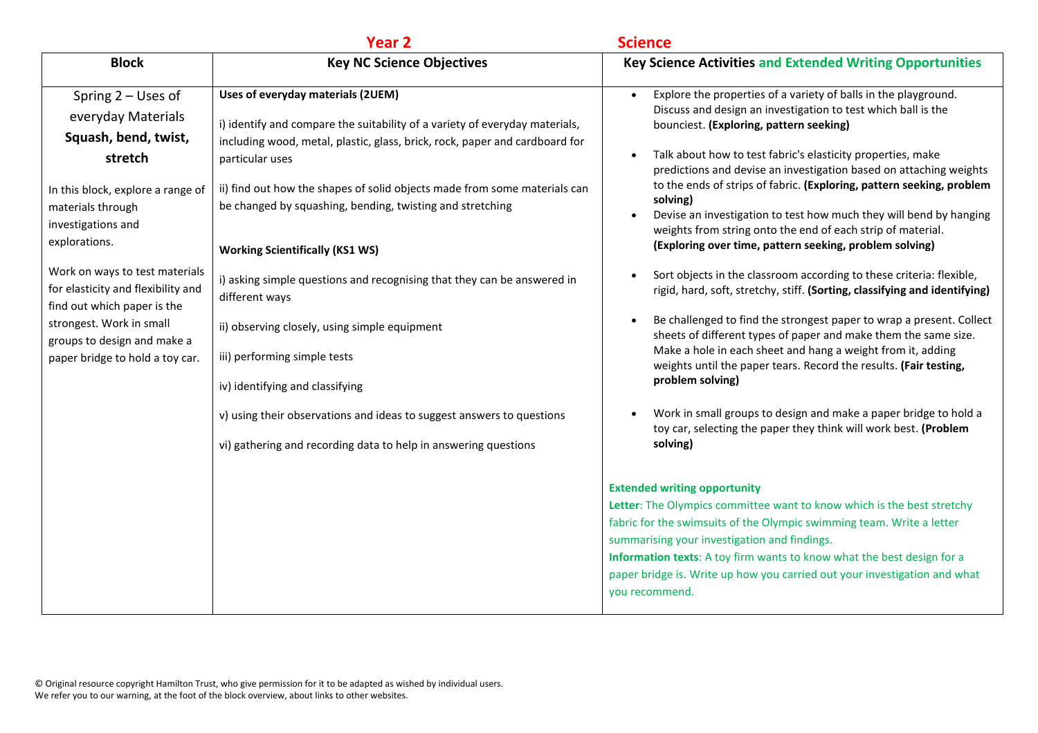|                                                                                                                                                                                                                                                                                                                                                                                   | <b>Year 2</b>                                                                                                                                                                                                                                                                                                                                                                                                                                                                                                                                                                                                                                                                                                                                                       | <b>Science</b>                                                                                                                                                                                                                                                                                                                                                                                                                                                                                                                                                                                                                                                                                                                                                                                                                                                                                                                                                                                                                                                                                                                                                                                                                                                                                                                                                                                                                                                                                                                                                                                                                                     |
|-----------------------------------------------------------------------------------------------------------------------------------------------------------------------------------------------------------------------------------------------------------------------------------------------------------------------------------------------------------------------------------|---------------------------------------------------------------------------------------------------------------------------------------------------------------------------------------------------------------------------------------------------------------------------------------------------------------------------------------------------------------------------------------------------------------------------------------------------------------------------------------------------------------------------------------------------------------------------------------------------------------------------------------------------------------------------------------------------------------------------------------------------------------------|----------------------------------------------------------------------------------------------------------------------------------------------------------------------------------------------------------------------------------------------------------------------------------------------------------------------------------------------------------------------------------------------------------------------------------------------------------------------------------------------------------------------------------------------------------------------------------------------------------------------------------------------------------------------------------------------------------------------------------------------------------------------------------------------------------------------------------------------------------------------------------------------------------------------------------------------------------------------------------------------------------------------------------------------------------------------------------------------------------------------------------------------------------------------------------------------------------------------------------------------------------------------------------------------------------------------------------------------------------------------------------------------------------------------------------------------------------------------------------------------------------------------------------------------------------------------------------------------------------------------------------------------------|
| <b>Block</b>                                                                                                                                                                                                                                                                                                                                                                      | <b>Key NC Science Objectives</b>                                                                                                                                                                                                                                                                                                                                                                                                                                                                                                                                                                                                                                                                                                                                    | <b>Key Science Activities and Extended Writing Opportunities</b>                                                                                                                                                                                                                                                                                                                                                                                                                                                                                                                                                                                                                                                                                                                                                                                                                                                                                                                                                                                                                                                                                                                                                                                                                                                                                                                                                                                                                                                                                                                                                                                   |
| Spring 2 - Uses of<br>everyday Materials<br>Squash, bend, twist,<br>stretch<br>In this block, explore a range of<br>materials through<br>investigations and<br>explorations.<br>Work on ways to test materials<br>for elasticity and flexibility and<br>find out which paper is the<br>strongest. Work in small<br>groups to design and make a<br>paper bridge to hold a toy car. | Uses of everyday materials (2UEM)<br>i) identify and compare the suitability of a variety of everyday materials,<br>including wood, metal, plastic, glass, brick, rock, paper and cardboard for<br>particular uses<br>ii) find out how the shapes of solid objects made from some materials can<br>be changed by squashing, bending, twisting and stretching<br><b>Working Scientifically (KS1 WS)</b><br>i) asking simple questions and recognising that they can be answered in<br>different ways<br>ii) observing closely, using simple equipment<br>iii) performing simple tests<br>iv) identifying and classifying<br>v) using their observations and ideas to suggest answers to questions<br>vi) gathering and recording data to help in answering questions | Explore the properties of a variety of balls in the playground.<br>Discuss and design an investigation to test which ball is the<br>bounciest. (Exploring, pattern seeking)<br>Talk about how to test fabric's elasticity properties, make<br>predictions and devise an investigation based on attaching weights<br>to the ends of strips of fabric. (Exploring, pattern seeking, problem<br>solving)<br>Devise an investigation to test how much they will bend by hanging<br>$\bullet$<br>weights from string onto the end of each strip of material.<br>(Exploring over time, pattern seeking, problem solving)<br>Sort objects in the classroom according to these criteria: flexible,<br>rigid, hard, soft, stretchy, stiff. (Sorting, classifying and identifying)<br>Be challenged to find the strongest paper to wrap a present. Collect<br>sheets of different types of paper and make them the same size.<br>Make a hole in each sheet and hang a weight from it, adding<br>weights until the paper tears. Record the results. (Fair testing,<br>problem solving)<br>Work in small groups to design and make a paper bridge to hold a<br>toy car, selecting the paper they think will work best. (Problem<br>solving)<br><b>Extended writing opportunity</b><br>Letter: The Olympics committee want to know which is the best stretchy<br>fabric for the swimsuits of the Olympic swimming team. Write a letter<br>summarising your investigation and findings.<br>Information texts: A toy firm wants to know what the best design for a<br>paper bridge is. Write up how you carried out your investigation and what<br>you recommend. |
|                                                                                                                                                                                                                                                                                                                                                                                   |                                                                                                                                                                                                                                                                                                                                                                                                                                                                                                                                                                                                                                                                                                                                                                     |                                                                                                                                                                                                                                                                                                                                                                                                                                                                                                                                                                                                                                                                                                                                                                                                                                                                                                                                                                                                                                                                                                                                                                                                                                                                                                                                                                                                                                                                                                                                                                                                                                                    |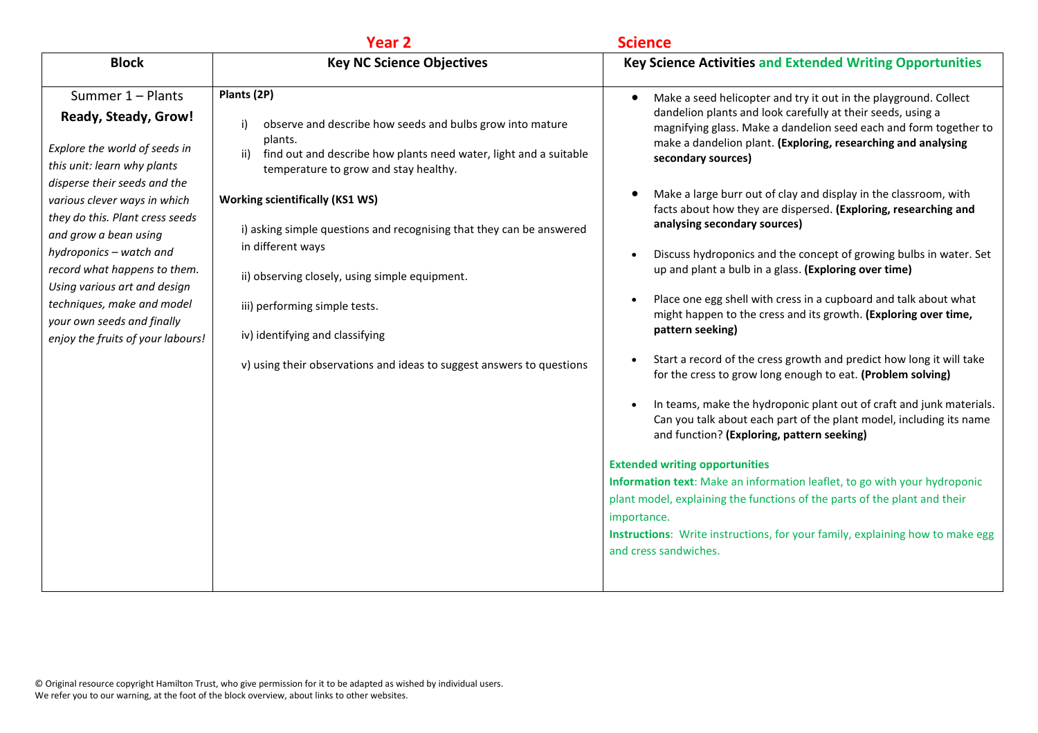|                                                                                                                                                                                                                                                                                                                                                                                                                                   | <b>Year 2</b>                                                                                                                                                                                                                                                                                                                                                                                                                                                                                                                                  | <b>Science</b>                                                                                                                                                                                                                                                                                                                                                                                                                                                                                                                                                                                                                                                                                                                                                                                                                                                                                                                                                                                                                                                                                                                                                                                                                                                                                                                                                                                                                            |
|-----------------------------------------------------------------------------------------------------------------------------------------------------------------------------------------------------------------------------------------------------------------------------------------------------------------------------------------------------------------------------------------------------------------------------------|------------------------------------------------------------------------------------------------------------------------------------------------------------------------------------------------------------------------------------------------------------------------------------------------------------------------------------------------------------------------------------------------------------------------------------------------------------------------------------------------------------------------------------------------|-------------------------------------------------------------------------------------------------------------------------------------------------------------------------------------------------------------------------------------------------------------------------------------------------------------------------------------------------------------------------------------------------------------------------------------------------------------------------------------------------------------------------------------------------------------------------------------------------------------------------------------------------------------------------------------------------------------------------------------------------------------------------------------------------------------------------------------------------------------------------------------------------------------------------------------------------------------------------------------------------------------------------------------------------------------------------------------------------------------------------------------------------------------------------------------------------------------------------------------------------------------------------------------------------------------------------------------------------------------------------------------------------------------------------------------------|
| <b>Block</b>                                                                                                                                                                                                                                                                                                                                                                                                                      | <b>Key NC Science Objectives</b>                                                                                                                                                                                                                                                                                                                                                                                                                                                                                                               | <b>Key Science Activities and Extended Writing Opportunities</b>                                                                                                                                                                                                                                                                                                                                                                                                                                                                                                                                                                                                                                                                                                                                                                                                                                                                                                                                                                                                                                                                                                                                                                                                                                                                                                                                                                          |
| Summer 1 - Plants<br>Ready, Steady, Grow!<br>Explore the world of seeds in<br>this unit: learn why plants<br>disperse their seeds and the<br>various clever ways in which<br>they do this. Plant cress seeds<br>and grow a bean using<br>hydroponics - watch and<br>record what happens to them.<br>Using various art and design<br>techniques, make and model<br>your own seeds and finally<br>enjoy the fruits of your labours! | Plants (2P)<br>observe and describe how seeds and bulbs grow into mature<br>plants.<br>find out and describe how plants need water, light and a suitable<br>ii)<br>temperature to grow and stay healthy.<br><b>Working scientifically (KS1 WS)</b><br>i) asking simple questions and recognising that they can be answered<br>in different ways<br>ii) observing closely, using simple equipment.<br>iii) performing simple tests.<br>iv) identifying and classifying<br>v) using their observations and ideas to suggest answers to questions | Make a seed helicopter and try it out in the playground. Collect<br>$\bullet$<br>dandelion plants and look carefully at their seeds, using a<br>magnifying glass. Make a dandelion seed each and form together to<br>make a dandelion plant. (Exploring, researching and analysing<br>secondary sources)<br>Make a large burr out of clay and display in the classroom, with<br>facts about how they are dispersed. (Exploring, researching and<br>analysing secondary sources)<br>Discuss hydroponics and the concept of growing bulbs in water. Set<br>up and plant a bulb in a glass. (Exploring over time)<br>Place one egg shell with cress in a cupboard and talk about what<br>might happen to the cress and its growth. (Exploring over time,<br>pattern seeking)<br>Start a record of the cress growth and predict how long it will take<br>for the cress to grow long enough to eat. (Problem solving)<br>In teams, make the hydroponic plant out of craft and junk materials.<br>Can you talk about each part of the plant model, including its name<br>and function? (Exploring, pattern seeking)<br><b>Extended writing opportunities</b><br>Information text: Make an information leaflet, to go with your hydroponic<br>plant model, explaining the functions of the parts of the plant and their<br>importance.<br>Instructions: Write instructions, for your family, explaining how to make egg<br>and cress sandwiches. |
|                                                                                                                                                                                                                                                                                                                                                                                                                                   |                                                                                                                                                                                                                                                                                                                                                                                                                                                                                                                                                |                                                                                                                                                                                                                                                                                                                                                                                                                                                                                                                                                                                                                                                                                                                                                                                                                                                                                                                                                                                                                                                                                                                                                                                                                                                                                                                                                                                                                                           |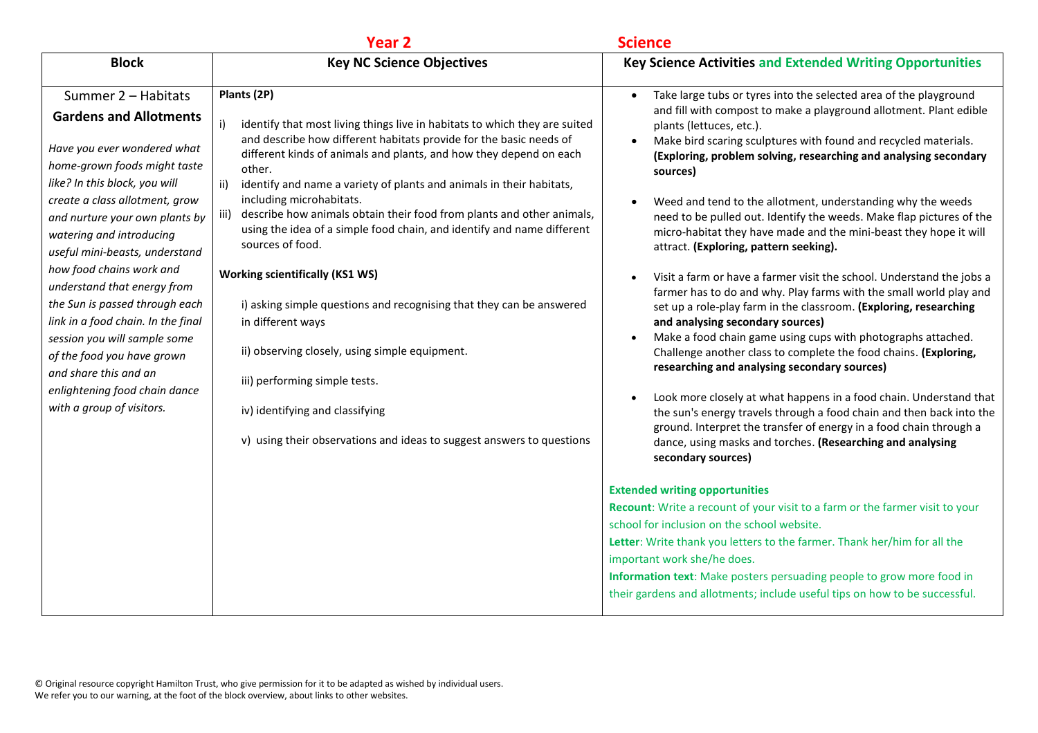|                                                                                                                                                                                                                                                                                                                                                                                                                                                                                                                                                                                | <b>Year 2</b>                                                                                                                                                                                                                                                                                                                                                                                                                                                                                                                                                                                                                                                                                                                                                                                                                                                                         | <b>Science</b>                                                                                                                                                                                                                                                                                                                                                                                                                                                                                                                                                                                                                                                                                                                                                                                                                                                                                                                                                                                                                                                                                                                                                                                                                                                                                                                                             |
|--------------------------------------------------------------------------------------------------------------------------------------------------------------------------------------------------------------------------------------------------------------------------------------------------------------------------------------------------------------------------------------------------------------------------------------------------------------------------------------------------------------------------------------------------------------------------------|---------------------------------------------------------------------------------------------------------------------------------------------------------------------------------------------------------------------------------------------------------------------------------------------------------------------------------------------------------------------------------------------------------------------------------------------------------------------------------------------------------------------------------------------------------------------------------------------------------------------------------------------------------------------------------------------------------------------------------------------------------------------------------------------------------------------------------------------------------------------------------------|------------------------------------------------------------------------------------------------------------------------------------------------------------------------------------------------------------------------------------------------------------------------------------------------------------------------------------------------------------------------------------------------------------------------------------------------------------------------------------------------------------------------------------------------------------------------------------------------------------------------------------------------------------------------------------------------------------------------------------------------------------------------------------------------------------------------------------------------------------------------------------------------------------------------------------------------------------------------------------------------------------------------------------------------------------------------------------------------------------------------------------------------------------------------------------------------------------------------------------------------------------------------------------------------------------------------------------------------------------|
| <b>Block</b>                                                                                                                                                                                                                                                                                                                                                                                                                                                                                                                                                                   | <b>Key NC Science Objectives</b>                                                                                                                                                                                                                                                                                                                                                                                                                                                                                                                                                                                                                                                                                                                                                                                                                                                      | <b>Key Science Activities and Extended Writing Opportunities</b>                                                                                                                                                                                                                                                                                                                                                                                                                                                                                                                                                                                                                                                                                                                                                                                                                                                                                                                                                                                                                                                                                                                                                                                                                                                                                           |
| Summer 2 - Habitats<br><b>Gardens and Allotments</b><br>Have you ever wondered what<br>home-grown foods might taste<br>like? In this block, you will<br>create a class allotment, grow<br>and nurture your own plants by<br>watering and introducing<br>useful mini-beasts, understand<br>how food chains work and<br>understand that energy from<br>the Sun is passed through each<br>link in a food chain. In the final<br>session you will sample some<br>of the food you have grown<br>and share this and an<br>enlightening food chain dance<br>with a group of visitors. | Plants (2P)<br>i)<br>identify that most living things live in habitats to which they are suited<br>and describe how different habitats provide for the basic needs of<br>different kinds of animals and plants, and how they depend on each<br>other.<br>ii)<br>identify and name a variety of plants and animals in their habitats,<br>including microhabitats.<br>describe how animals obtain their food from plants and other animals,<br>iii)<br>using the idea of a simple food chain, and identify and name different<br>sources of food.<br><b>Working scientifically (KS1 WS)</b><br>i) asking simple questions and recognising that they can be answered<br>in different ways<br>ii) observing closely, using simple equipment.<br>iii) performing simple tests.<br>iv) identifying and classifying<br>v) using their observations and ideas to suggest answers to questions | Take large tubs or tyres into the selected area of the playground<br>and fill with compost to make a playground allotment. Plant edible<br>plants (lettuces, etc.).<br>Make bird scaring sculptures with found and recycled materials.<br>$\bullet$<br>(Exploring, problem solving, researching and analysing secondary<br>sources)<br>Weed and tend to the allotment, understanding why the weeds<br>need to be pulled out. Identify the weeds. Make flap pictures of the<br>micro-habitat they have made and the mini-beast they hope it will<br>attract. (Exploring, pattern seeking).<br>Visit a farm or have a farmer visit the school. Understand the jobs a<br>farmer has to do and why. Play farms with the small world play and<br>set up a role-play farm in the classroom. (Exploring, researching<br>and analysing secondary sources)<br>Make a food chain game using cups with photographs attached.<br>$\bullet$<br>Challenge another class to complete the food chains. (Exploring,<br>researching and analysing secondary sources)<br>Look more closely at what happens in a food chain. Understand that<br>the sun's energy travels through a food chain and then back into the<br>ground. Interpret the transfer of energy in a food chain through a<br>dance, using masks and torches. (Researching and analysing<br>secondary sources) |
|                                                                                                                                                                                                                                                                                                                                                                                                                                                                                                                                                                                |                                                                                                                                                                                                                                                                                                                                                                                                                                                                                                                                                                                                                                                                                                                                                                                                                                                                                       | <b>Extended writing opportunities</b><br>Recount: Write a recount of your visit to a farm or the farmer visit to your<br>school for inclusion on the school website.<br>Letter: Write thank you letters to the farmer. Thank her/him for all the<br>important work she/he does.<br>Information text: Make posters persuading people to grow more food in<br>their gardens and allotments; include useful tips on how to be successful.                                                                                                                                                                                                                                                                                                                                                                                                                                                                                                                                                                                                                                                                                                                                                                                                                                                                                                                     |